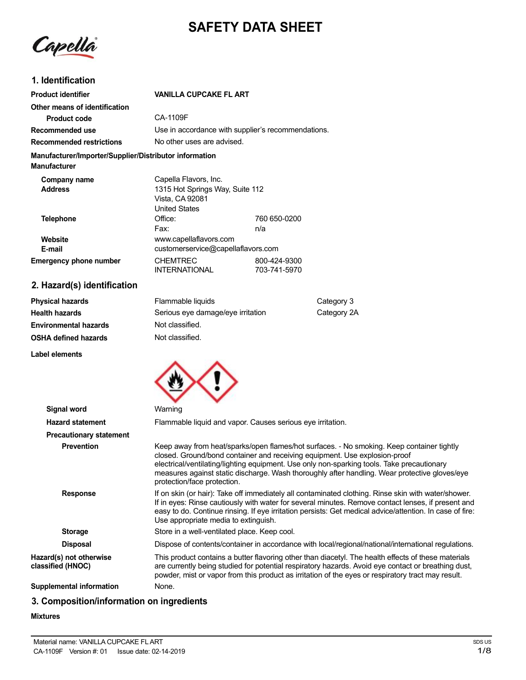# **SAFETY DATA SHEET**

Capella

## **1. Identification**

| <b>Product identifier</b>                                                     | <b>VANILLA CUPCAKE FL ART</b>                                                                       |                              |
|-------------------------------------------------------------------------------|-----------------------------------------------------------------------------------------------------|------------------------------|
| Other means of identification                                                 |                                                                                                     |                              |
| <b>Product code</b>                                                           | CA-1109F                                                                                            |                              |
| Recommended use                                                               | Use in accordance with supplier's recommendations.                                                  |                              |
| <b>Recommended restrictions</b>                                               | No other uses are advised.                                                                          |                              |
| Manufacturer/Importer/Supplier/Distributor information<br><b>Manufacturer</b> |                                                                                                     |                              |
| Company name<br><b>Address</b>                                                | Capella Flavors, Inc.<br>1315 Hot Springs Way, Suite 112<br>Vista, CA 92081<br><b>United States</b> |                              |
| <b>Telephone</b>                                                              | Office:<br>Fax:                                                                                     | 760 650-0200<br>n/a          |
| Website<br>E-mail                                                             | www.capellaflavors.com<br>customerservice@capellaflavors.com                                        |                              |
| <b>Emergency phone number</b>                                                 | <b>CHEMTREC</b><br><b>INTERNATIONAL</b>                                                             | 800-424-9300<br>703-741-5970 |

# **2. Hazard(s) identification**

| <b>Physical hazards</b>      | Flammable liquids                 | Category 3  |
|------------------------------|-----------------------------------|-------------|
| Health hazards               | Serious eye damage/eye irritation | Category 2A |
| <b>Environmental hazards</b> | Not classified.                   |             |
| OSHA defined hazards         | Not classified.                   |             |

**Label elements**



| <b>Signal word</b>                           | Warning                                                                                                                                                                                                                                                                                                                                                                                               |
|----------------------------------------------|-------------------------------------------------------------------------------------------------------------------------------------------------------------------------------------------------------------------------------------------------------------------------------------------------------------------------------------------------------------------------------------------------------|
| <b>Hazard statement</b>                      | Flammable liquid and vapor. Causes serious eye irritation.                                                                                                                                                                                                                                                                                                                                            |
| <b>Precautionary statement</b>               |                                                                                                                                                                                                                                                                                                                                                                                                       |
| <b>Prevention</b>                            | Keep away from heat/sparks/open flames/hot surfaces. - No smoking. Keep container tightly<br>closed. Ground/bond container and receiving equipment. Use explosion-proof<br>electrical/ventilating/lighting equipment. Use only non-sparking tools. Take precautionary<br>measures against static discharge. Wash thoroughly after handling. Wear protective gloves/eye<br>protection/face protection. |
| <b>Response</b>                              | If on skin (or hair): Take off immediately all contaminated clothing. Rinse skin with water/shower.<br>If in eyes: Rinse cautiously with water for several minutes. Remove contact lenses, if present and<br>easy to do. Continue rinsing. If eye irritation persists: Get medical advice/attention. In case of fire:<br>Use appropriate media to extinguish.                                         |
| <b>Storage</b>                               | Store in a well-ventilated place. Keep cool.                                                                                                                                                                                                                                                                                                                                                          |
| <b>Disposal</b>                              | Dispose of contents/container in accordance with local/regional/national/international regulations.                                                                                                                                                                                                                                                                                                   |
| Hazard(s) not otherwise<br>classified (HNOC) | This product contains a butter flavoring other than diacetyl. The health effects of these materials<br>are currently being studied for potential respiratory hazards. Avoid eye contact or breathing dust,<br>powder, mist or vapor from this product as irritation of the eyes or respiratory tract may result.                                                                                      |
| <b>Supplemental information</b>              | None.                                                                                                                                                                                                                                                                                                                                                                                                 |

# **3. Composition/information on ingredients**

#### **Mixtures**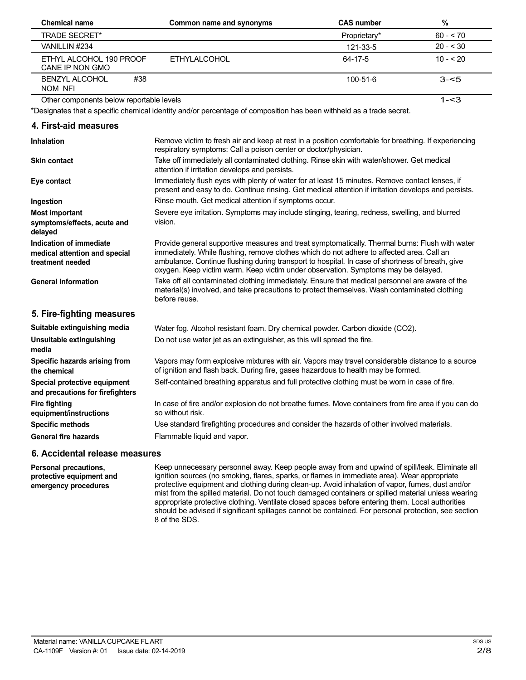| <b>Chemical name</b>                       | Common name and synonyms | <b>CAS number</b> | %         |  |
|--------------------------------------------|--------------------------|-------------------|-----------|--|
| <b>TRADE SECRET*</b>                       |                          | Proprietary*      | $60 - 70$ |  |
| VANILLIN #234                              |                          | 121-33-5          | $20 - 30$ |  |
| ETHYL ALCOHOL 190 PROOF<br>CANE IP NON GMO | FTHYLAI COHOL            | 64-17-5           | $10 - 20$ |  |
| #38<br><b>BENZYL ALCOHOL</b><br>NOM NFI    |                          | $100 - 51 - 6$    | $3 - 5$   |  |
| Other components below reportable levels   |                          |                   | 1-<3      |  |

Other components below reportable levels

\*Designates that a specific chemical identity and/or percentage of composition has been withheld as a trade secret.

| 4. First-aid measures                                                        |                                                                                                                                                                                                                                                                                                                                                                                     |
|------------------------------------------------------------------------------|-------------------------------------------------------------------------------------------------------------------------------------------------------------------------------------------------------------------------------------------------------------------------------------------------------------------------------------------------------------------------------------|
| <b>Inhalation</b>                                                            | Remove victim to fresh air and keep at rest in a position comfortable for breathing. If experiencing<br>respiratory symptoms: Call a poison center or doctor/physician.                                                                                                                                                                                                             |
| <b>Skin contact</b>                                                          | Take off immediately all contaminated clothing. Rinse skin with water/shower. Get medical<br>attention if irritation develops and persists.                                                                                                                                                                                                                                         |
| Eye contact                                                                  | Immediately flush eyes with plenty of water for at least 15 minutes. Remove contact lenses, if<br>present and easy to do. Continue rinsing. Get medical attention if irritation develops and persists.                                                                                                                                                                              |
| Ingestion                                                                    | Rinse mouth. Get medical attention if symptoms occur.                                                                                                                                                                                                                                                                                                                               |
| <b>Most important</b><br>symptoms/effects, acute and<br>delayed              | Severe eye irritation. Symptoms may include stinging, tearing, redness, swelling, and blurred<br>vision.                                                                                                                                                                                                                                                                            |
| Indication of immediate<br>medical attention and special<br>treatment needed | Provide general supportive measures and treat symptomatically. Thermal burns: Flush with water<br>immediately. While flushing, remove clothes which do not adhere to affected area. Call an<br>ambulance. Continue flushing during transport to hospital. In case of shortness of breath, give<br>oxygen. Keep victim warm. Keep victim under observation. Symptoms may be delayed. |
| <b>General information</b>                                                   | Take off all contaminated clothing immediately. Ensure that medical personnel are aware of the<br>material(s) involved, and take precautions to protect themselves. Wash contaminated clothing<br>before reuse.                                                                                                                                                                     |
| 5. Fire-fighting measures                                                    |                                                                                                                                                                                                                                                                                                                                                                                     |
| Suitable extinguishing media                                                 | Water fog. Alcohol resistant foam. Dry chemical powder. Carbon dioxide (CO2).                                                                                                                                                                                                                                                                                                       |
| Unsuitable extinguishing<br>media                                            | Do not use water jet as an extinguisher, as this will spread the fire.                                                                                                                                                                                                                                                                                                              |
| Specific hazards arising from<br>the chemical                                | Vapors may form explosive mixtures with air. Vapors may travel considerable distance to a source<br>of ignition and flash back. During fire, gases hazardous to health may be formed.                                                                                                                                                                                               |
| Special protective equipment<br>and precautions for firefighters             | Self-contained breathing apparatus and full protective clothing must be worn in case of fire.                                                                                                                                                                                                                                                                                       |
| <b>Fire fighting</b><br>equipment/instructions                               | In case of fire and/or explosion do not breathe fumes. Move containers from fire area if you can do<br>so without risk.                                                                                                                                                                                                                                                             |
| <b>Specific methods</b>                                                      | Use standard firefighting procedures and consider the hazards of other involved materials.                                                                                                                                                                                                                                                                                          |
| <b>General fire hazards</b>                                                  | Flammable liquid and vapor.                                                                                                                                                                                                                                                                                                                                                         |
|                                                                              |                                                                                                                                                                                                                                                                                                                                                                                     |

### **6. Accidental release measures**

**Personal precautions, protective equipment and emergency procedures**

Keep unnecessary personnel away. Keep people away from and upwind of spill/leak. Eliminate all ignition sources (no smoking, flares, sparks, or flames in immediate area). Wear appropriate protective equipment and clothing during clean-up. Avoid inhalation of vapor, fumes, dust and/or mist from the spilled material. Do not touch damaged containers or spilled material unless wearing appropriate protective clothing. Ventilate closed spaces before entering them. Local authorities should be advised if significant spillages cannot be contained. For personal protection, see section 8 of the SDS.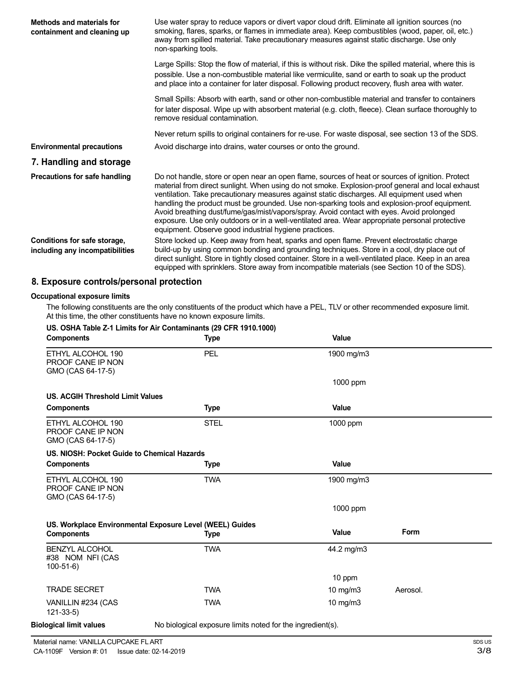| Methods and materials for<br>containment and cleaning up        | Use water spray to reduce vapors or divert vapor cloud drift. Eliminate all ignition sources (no<br>smoking, flares, sparks, or flames in immediate area). Keep combustibles (wood, paper, oil, etc.)<br>away from spilled material. Take precautionary measures against static discharge. Use only<br>non-sparking tools.                                                                                                                                                                                                                                                                                                                                   |
|-----------------------------------------------------------------|--------------------------------------------------------------------------------------------------------------------------------------------------------------------------------------------------------------------------------------------------------------------------------------------------------------------------------------------------------------------------------------------------------------------------------------------------------------------------------------------------------------------------------------------------------------------------------------------------------------------------------------------------------------|
|                                                                 | Large Spills: Stop the flow of material, if this is without risk. Dike the spilled material, where this is<br>possible. Use a non-combustible material like vermiculite, sand or earth to soak up the product<br>and place into a container for later disposal. Following product recovery, flush area with water.                                                                                                                                                                                                                                                                                                                                           |
|                                                                 | Small Spills: Absorb with earth, sand or other non-combustible material and transfer to containers<br>for later disposal. Wipe up with absorbent material (e.g. cloth, fleece). Clean surface thoroughly to<br>remove residual contamination.                                                                                                                                                                                                                                                                                                                                                                                                                |
|                                                                 | Never return spills to original containers for re-use. For waste disposal, see section 13 of the SDS.                                                                                                                                                                                                                                                                                                                                                                                                                                                                                                                                                        |
| <b>Environmental precautions</b>                                | Avoid discharge into drains, water courses or onto the ground.                                                                                                                                                                                                                                                                                                                                                                                                                                                                                                                                                                                               |
| 7. Handling and storage                                         |                                                                                                                                                                                                                                                                                                                                                                                                                                                                                                                                                                                                                                                              |
| Precautions for safe handling                                   | Do not handle, store or open near an open flame, sources of heat or sources of ignition. Protect<br>material from direct sunlight. When using do not smoke. Explosion-proof general and local exhaust<br>ventilation. Take precautionary measures against static discharges. All equipment used when<br>handling the product must be grounded. Use non-sparking tools and explosion-proof equipment.<br>Avoid breathing dust/fume/gas/mist/vapors/spray. Avoid contact with eyes. Avoid prolonged<br>exposure. Use only outdoors or in a well-ventilated area. Wear appropriate personal protective<br>equipment. Observe good industrial hygiene practices. |
| Conditions for safe storage,<br>including any incompatibilities | Store locked up. Keep away from heat, sparks and open flame. Prevent electrostatic charge<br>build-up by using common bonding and grounding techniques. Store in a cool, dry place out of<br>direct sunlight. Store in tightly closed container. Store in a well-ventilated place. Keep in an area<br>equipped with sprinklers. Store away from incompatible materials (see Section 10 of the SDS).                                                                                                                                                                                                                                                          |

## **8. Exposure controls/personal protection**

#### **Occupational exposure limits**

The following constituents are the only constituents of the product which have a PEL, TLV or other recommended exposure limit. At this time, the other constituents have no known exposure limits.

| <b>Components</b>                                           | <b>Type</b>                                                | Value      |             |  |
|-------------------------------------------------------------|------------------------------------------------------------|------------|-------------|--|
| ETHYL ALCOHOL 190<br>PROOF CANE IP NON<br>GMO (CAS 64-17-5) | <b>PEL</b>                                                 | 1900 mg/m3 |             |  |
|                                                             |                                                            | 1000 ppm   |             |  |
| <b>US. ACGIH Threshold Limit Values</b>                     |                                                            |            |             |  |
| <b>Components</b>                                           | <b>Type</b>                                                | Value      |             |  |
| ETHYL ALCOHOL 190<br>PROOF CANE IP NON<br>GMO (CAS 64-17-5) | <b>STEL</b>                                                | 1000 ppm   |             |  |
| US. NIOSH: Pocket Guide to Chemical Hazards                 |                                                            |            |             |  |
| <b>Components</b>                                           | <b>Type</b>                                                | Value      |             |  |
| ETHYL ALCOHOL 190<br>PROOF CANE IP NON<br>GMO (CAS 64-17-5) | <b>TWA</b>                                                 | 1900 mg/m3 |             |  |
|                                                             |                                                            | 1000 ppm   |             |  |
| US. Workplace Environmental Exposure Level (WEEL) Guides    |                                                            |            |             |  |
| <b>Components</b>                                           | Type                                                       | Value      | <b>Form</b> |  |
| <b>BENZYL ALCOHOL</b><br>#38 NOM NFI (CAS<br>$100-51-6$     | <b>TWA</b>                                                 | 44.2 mg/m3 |             |  |
|                                                             |                                                            | 10 ppm     |             |  |
| <b>TRADE SECRET</b>                                         | <b>TWA</b>                                                 | 10 mg/m3   | Aerosol.    |  |
| VANILLIN #234 (CAS<br>$121 - 33 - 5$                        | <b>TWA</b>                                                 | 10 mg/m3   |             |  |
| <b>Biological limit values</b>                              | No biological exposure limits noted for the ingredient(s). |            |             |  |

Material name: VANILLA CUPCAKE FLART CA-1109F Version #: 01 Issue date: 02-14-2019 SDS US 3/8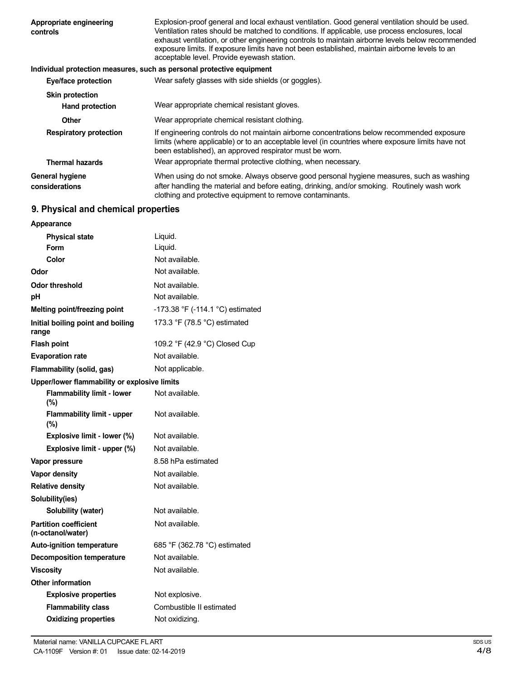| Appropriate engineering<br>controls      | Explosion-proof general and local exhaust ventilation. Good general ventilation should be used.<br>Ventilation rates should be matched to conditions. If applicable, use process enclosures, local<br>exhaust ventilation, or other engineering controls to maintain airborne levels below recommended<br>exposure limits. If exposure limits have not been established, maintain airborne levels to an<br>acceptable level. Provide eyewash station. |
|------------------------------------------|-------------------------------------------------------------------------------------------------------------------------------------------------------------------------------------------------------------------------------------------------------------------------------------------------------------------------------------------------------------------------------------------------------------------------------------------------------|
|                                          | Individual protection measures, such as personal protective equipment                                                                                                                                                                                                                                                                                                                                                                                 |
| Eye/face protection                      | Wear safety glasses with side shields (or goggles).                                                                                                                                                                                                                                                                                                                                                                                                   |
| <b>Skin protection</b>                   |                                                                                                                                                                                                                                                                                                                                                                                                                                                       |
| <b>Hand protection</b>                   | Wear appropriate chemical resistant gloves.                                                                                                                                                                                                                                                                                                                                                                                                           |
| Other                                    | Wear appropriate chemical resistant clothing.                                                                                                                                                                                                                                                                                                                                                                                                         |
| <b>Respiratory protection</b>            | If engineering controls do not maintain airborne concentrations below recommended exposure<br>limits (where applicable) or to an acceptable level (in countries where exposure limits have not<br>been established), an approved respirator must be worn.                                                                                                                                                                                             |
| <b>Thermal hazards</b>                   | Wear appropriate thermal protective clothing, when necessary.                                                                                                                                                                                                                                                                                                                                                                                         |
| <b>General hygiene</b><br>considerations | When using do not smoke. Always observe good personal hygiene measures, such as washing<br>after handling the material and before eating, drinking, and/or smoking. Routinely wash work<br>clothing and protective equipment to remove contaminants.                                                                                                                                                                                                  |

# **9. Physical and chemical properties**

| Appearance                                        |                                  |
|---------------------------------------------------|----------------------------------|
| <b>Physical state</b>                             | Liquid.                          |
| Form                                              | Liquid.                          |
| Color                                             | Not available.                   |
| Odor                                              | Not available.                   |
| Odor threshold                                    | Not available.                   |
| рH                                                | Not available.                   |
| <b>Melting point/freezing point</b>               | -173.38 °F (-114.1 °C) estimated |
| Initial boiling point and boiling<br>range        | 173.3 °F (78.5 °C) estimated     |
| <b>Flash point</b>                                | 109.2 °F (42.9 °C) Closed Cup    |
| <b>Evaporation rate</b>                           | Not available.                   |
| Flammability (solid, gas)                         | Not applicable.                  |
| Upper/lower flammability or explosive limits      |                                  |
| <b>Flammability limit - lower</b><br>(%)          | Not available.                   |
| <b>Flammability limit - upper</b><br>(%)          | Not available.                   |
| Explosive limit - lower (%)                       | Not available.                   |
| Explosive limit - upper (%)                       | Not available.                   |
| Vapor pressure                                    | 8.58 hPa estimated               |
| <b>Vapor density</b>                              | Not available.                   |
| <b>Relative density</b>                           | Not available.                   |
| Solubility(ies)                                   |                                  |
| Solubility (water)                                | Not available.                   |
| <b>Partition coefficient</b><br>(n-octanol/water) | Not available.                   |
| <b>Auto-ignition temperature</b>                  | 685 °F (362.78 °C) estimated     |
| <b>Decomposition temperature</b>                  | Not available.                   |
| <b>Viscosity</b>                                  | Not available.                   |
| <b>Other information</b>                          |                                  |
| <b>Explosive properties</b>                       | Not explosive.                   |
| <b>Flammability class</b>                         | Combustible II estimated         |
| <b>Oxidizing properties</b>                       | Not oxidizing.                   |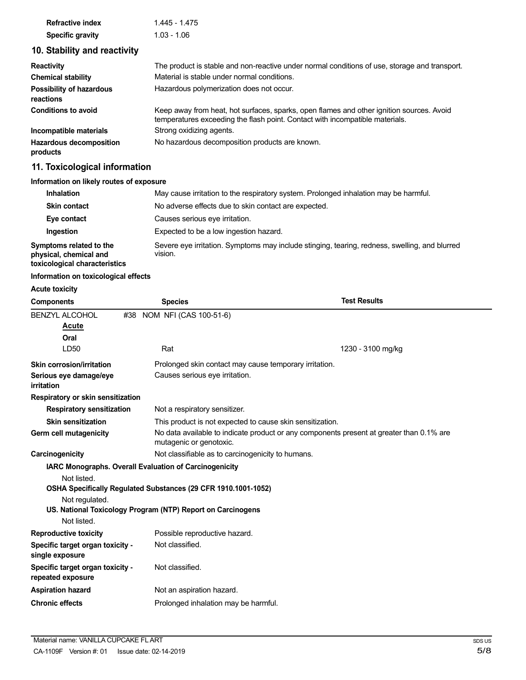| <b>Refractive index</b> | 1.445 - 1.475 |
|-------------------------|---------------|
| <b>Specific gravity</b> | 1.03 - 1.06   |

# **10. Stability and reactivity**

| <b>Reactivity</b>                          | The product is stable and non-reactive under normal conditions of use, storage and transport.                                                                            |
|--------------------------------------------|--------------------------------------------------------------------------------------------------------------------------------------------------------------------------|
| <b>Chemical stability</b>                  | Material is stable under normal conditions.                                                                                                                              |
| Possibility of hazardous<br>reactions      | Hazardous polymerization does not occur.                                                                                                                                 |
| <b>Conditions to avoid</b>                 | Keep away from heat, hot surfaces, sparks, open flames and other ignition sources. Avoid<br>temperatures exceeding the flash point. Contact with incompatible materials. |
| Incompatible materials                     | Strong oxidizing agents.                                                                                                                                                 |
| <b>Hazardous decomposition</b><br>products | No hazardous decomposition products are known.                                                                                                                           |

# **11. Toxicological information**

| Information on likely routes of exposure                                           |                                                                                                          |
|------------------------------------------------------------------------------------|----------------------------------------------------------------------------------------------------------|
| <b>Inhalation</b>                                                                  | May cause irritation to the respiratory system. Prolonged inhalation may be harmful.                     |
| <b>Skin contact</b>                                                                | No adverse effects due to skin contact are expected.                                                     |
| Eye contact                                                                        | Causes serious eye irritation.                                                                           |
| Ingestion                                                                          | Expected to be a low ingestion hazard.                                                                   |
| Symptoms related to the<br>physical, chemical and<br>toxicological characteristics | Severe eye irritation. Symptoms may include stinging, tearing, redness, swelling, and blurred<br>vision. |

## **Information on toxicological effects**

### **Acute toxicity**

| <b>Components</b>                                     | <b>Species</b>                                                 | <b>Test Results</b>                                                                      |  |
|-------------------------------------------------------|----------------------------------------------------------------|------------------------------------------------------------------------------------------|--|
| <b>BENZYL ALCOHOL</b>                                 | NOM NFI (CAS 100-51-6)<br>#38                                  |                                                                                          |  |
| Acute                                                 |                                                                |                                                                                          |  |
| Oral                                                  |                                                                |                                                                                          |  |
| LD <sub>50</sub>                                      | Rat                                                            | 1230 - 3100 mg/kg                                                                        |  |
| Skin corrosion/irritation                             |                                                                | Prolonged skin contact may cause temporary irritation.                                   |  |
| Serious eye damage/eye<br>irritation                  | Causes serious eye irritation.                                 |                                                                                          |  |
| Respiratory or skin sensitization                     |                                                                |                                                                                          |  |
| <b>Respiratory sensitization</b>                      |                                                                | Not a respiratory sensitizer.                                                            |  |
| <b>Skin sensitization</b>                             |                                                                | This product is not expected to cause skin sensitization.                                |  |
| Germ cell mutagenicity                                | mutagenic or genotoxic.                                        | No data available to indicate product or any components present at greater than 0.1% are |  |
| Carcinogenicity                                       | Not classifiable as to carcinogenicity to humans.              |                                                                                          |  |
|                                                       | IARC Monographs. Overall Evaluation of Carcinogenicity         |                                                                                          |  |
| Not listed.                                           | OSHA Specifically Regulated Substances (29 CFR 1910.1001-1052) |                                                                                          |  |
| Not regulated.                                        |                                                                |                                                                                          |  |
| Not listed.                                           | US. National Toxicology Program (NTP) Report on Carcinogens    |                                                                                          |  |
| <b>Reproductive toxicity</b>                          | Possible reproductive hazard.                                  |                                                                                          |  |
| Specific target organ toxicity -<br>single exposure   | Not classified.                                                |                                                                                          |  |
| Specific target organ toxicity -<br>repeated exposure | Not classified.                                                |                                                                                          |  |
| <b>Aspiration hazard</b>                              | Not an aspiration hazard.                                      |                                                                                          |  |
| <b>Chronic effects</b>                                | Prolonged inhalation may be harmful.                           |                                                                                          |  |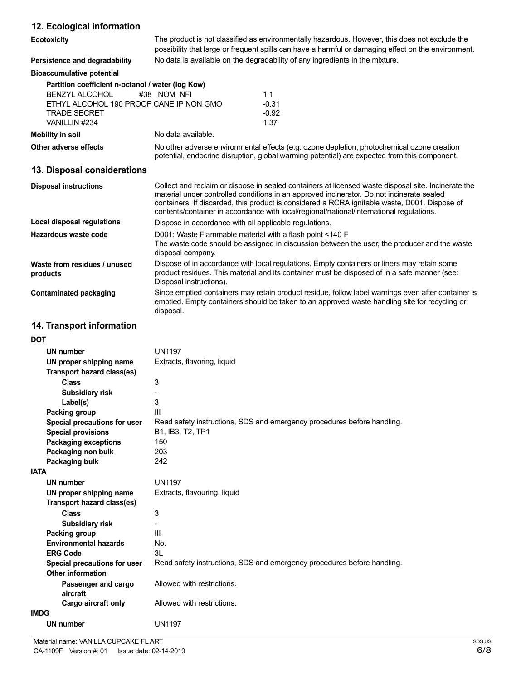## **12. Ecological information**

| וב. בסטוטאַוסטו וווסוווומנוסוו                                                                                                                         |                                                                                                                                                                                                                                                                                                                                                                                               |                                   |  |
|--------------------------------------------------------------------------------------------------------------------------------------------------------|-----------------------------------------------------------------------------------------------------------------------------------------------------------------------------------------------------------------------------------------------------------------------------------------------------------------------------------------------------------------------------------------------|-----------------------------------|--|
| <b>Ecotoxicity</b>                                                                                                                                     | The product is not classified as environmentally hazardous. However, this does not exclude the<br>possibility that large or frequent spills can have a harmful or damaging effect on the environment.                                                                                                                                                                                         |                                   |  |
| Persistence and degradability                                                                                                                          | No data is available on the degradability of any ingredients in the mixture.                                                                                                                                                                                                                                                                                                                  |                                   |  |
| <b>Bioaccumulative potential</b>                                                                                                                       |                                                                                                                                                                                                                                                                                                                                                                                               |                                   |  |
| Partition coefficient n-octanol / water (log Kow)<br>BENZYL ALCOHOL<br>ETHYL ALCOHOL 190 PROOF CANE IP NON GMO<br><b>TRADE SECRET</b><br>VANILLIN #234 | #38 NOM NFI                                                                                                                                                                                                                                                                                                                                                                                   | 1.1<br>$-0.31$<br>$-0.92$<br>1.37 |  |
| <b>Mobility in soil</b>                                                                                                                                | No data available.                                                                                                                                                                                                                                                                                                                                                                            |                                   |  |
| Other adverse effects                                                                                                                                  | No other adverse environmental effects (e.g. ozone depletion, photochemical ozone creation<br>potential, endocrine disruption, global warming potential) are expected from this component.                                                                                                                                                                                                    |                                   |  |
| 13. Disposal considerations                                                                                                                            |                                                                                                                                                                                                                                                                                                                                                                                               |                                   |  |
| <b>Disposal instructions</b>                                                                                                                           | Collect and reclaim or dispose in sealed containers at licensed waste disposal site. Incinerate the<br>material under controlled conditions in an approved incinerator. Do not incinerate sealed<br>containers. If discarded, this product is considered a RCRA ignitable waste, D001. Dispose of<br>contents/container in accordance with local/regional/national/international regulations. |                                   |  |
| Local disposal regulations                                                                                                                             | Dispose in accordance with all applicable regulations.                                                                                                                                                                                                                                                                                                                                        |                                   |  |
| Hazardous waste code                                                                                                                                   | D001: Waste Flammable material with a flash point <140 F<br>The waste code should be assigned in discussion between the user, the producer and the waste<br>disposal company.                                                                                                                                                                                                                 |                                   |  |
| Waste from residues / unused<br>products                                                                                                               | Dispose of in accordance with local regulations. Empty containers or liners may retain some<br>product residues. This material and its container must be disposed of in a safe manner (see:<br>Disposal instructions).                                                                                                                                                                        |                                   |  |
| <b>Contaminated packaging</b>                                                                                                                          | Since emptied containers may retain product residue, follow label warnings even after container is<br>emptied. Empty containers should be taken to an approved waste handling site for recycling or<br>disposal.                                                                                                                                                                              |                                   |  |
| 14. Transport information                                                                                                                              |                                                                                                                                                                                                                                                                                                                                                                                               |                                   |  |
| DOT                                                                                                                                                    |                                                                                                                                                                                                                                                                                                                                                                                               |                                   |  |
| UN number                                                                                                                                              | <b>UN1197</b>                                                                                                                                                                                                                                                                                                                                                                                 |                                   |  |
| UN proper shipping name                                                                                                                                | Extracts, flavoring, liquid                                                                                                                                                                                                                                                                                                                                                                   |                                   |  |
| Transport hazard class(es)                                                                                                                             |                                                                                                                                                                                                                                                                                                                                                                                               |                                   |  |
| <b>Class</b>                                                                                                                                           | 3                                                                                                                                                                                                                                                                                                                                                                                             |                                   |  |
| <b>Subsidiary risk</b>                                                                                                                                 |                                                                                                                                                                                                                                                                                                                                                                                               |                                   |  |

| <b>DOT</b>                   |                                                                         |
|------------------------------|-------------------------------------------------------------------------|
| UN number                    | <b>UN1197</b>                                                           |
| UN proper shipping name      | Extracts, flavoring, liquid                                             |
| Transport hazard class(es)   |                                                                         |
| <b>Class</b>                 | 3                                                                       |
| Subsidiary risk              |                                                                         |
| Label(s)                     | 3                                                                       |
| Packing group                | Ш                                                                       |
| Special precautions for user | Read safety instructions, SDS and emergency procedures before handling. |
| <b>Special provisions</b>    | B1, IB3, T2, TP1                                                        |
| <b>Packaging exceptions</b>  | 150                                                                     |
| Packaging non bulk           | 203                                                                     |
| Packaging bulk               | 242                                                                     |
| <b>IATA</b>                  |                                                                         |
| <b>UN number</b>             | <b>UN1197</b>                                                           |
| UN proper shipping name      | Extracts, flavouring, liquid                                            |
| Transport hazard class(es)   |                                                                         |
| <b>Class</b>                 | 3                                                                       |
| <b>Subsidiary risk</b>       |                                                                         |
| Packing group                | Ш                                                                       |
| <b>Environmental hazards</b> | No.                                                                     |
| <b>ERG Code</b>              | 3L                                                                      |
| Special precautions for user | Read safety instructions, SDS and emergency procedures before handling. |
| Other information            |                                                                         |
| Passenger and cargo          | Allowed with restrictions.                                              |
| aircraft                     |                                                                         |
| Cargo aircraft only          | Allowed with restrictions.                                              |
| <b>IMDG</b>                  |                                                                         |
| <b>UN number</b>             | <b>UN1197</b>                                                           |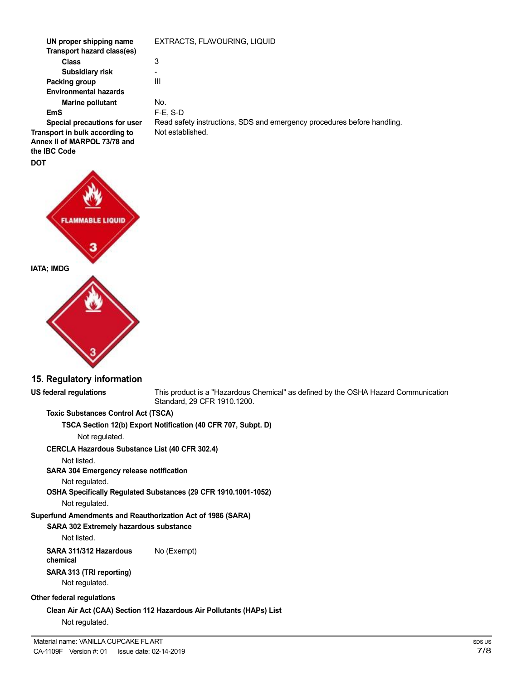**UN proper shipping name Transport hazard class(es) Class Subsidiary risk Packing group Environmental hazards Marine pollutant EmS Special precautions for user Transport in bulk according to Annex II of MARPOL 73/78 and the IBC Code** EXTRACTS, FLAVOURING, LIQUID 3 - III No. F-E, S-D Read safety instructions, SDS and emergency procedures before handling. Not established.



## **15. Regulatory information**

**US federal regulations** This product is a "Hazardous Chemical" as defined by the OSHA Hazard Communication Standard, 29 CFR 1910.1200.

**Toxic Substances Control Act (TSCA)**

**TSCA Section 12(b) Export Notification (40 CFR 707, Subpt. D)**

Not regulated.

**CERCLA Hazardous Substance List (40 CFR 302.4)**

Not listed.

**SARA 304 Emergency release notification**

Not regulated.

**OSHA Specifically Regulated Substances (29 CFR 1910.1001-1052)**

Not regulated.

## **Superfund Amendments and Reauthorization Act of 1986 (SARA)**

## **SARA 302 Extremely hazardous substance**

Not listed.

**SARA 311/312 Hazardous** No (Exempt) **chemical**

# **SARA 313 (TRI reporting)**

Not regulated.

## **Other federal regulations**

**Clean Air Act (CAA) Section 112 Hazardous Air Pollutants (HAPs) List** Not regulated.